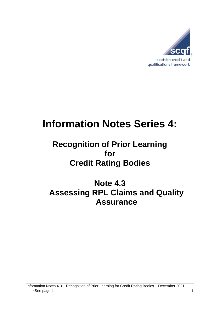

# **Information Notes Series 4:**

# **Recognition of Prior Learning for Credit Rating Bodies**

**Note 4.3 Assessing RPL Claims and Quality Assurance**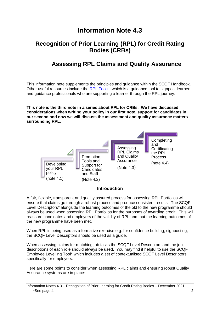# **Information Note 4.3**

### **Recognition of Prior Learning (RPL) for Credit Rating Bodies (CRBs)**

## **Assessing RPL Claims and Quality Assurance**

This information note supplements the principles and guidance within the SCQF Handbook. Other useful resources include the [RPL Toolkit](https://scqf.org.uk/guide-to-rpl/rpl-tool/) which is a quidance tool to signpost learners, and guidance professionals who are supporting a learner through the RPL journey.

**This note is the third note in a series about RPL for CRBs. We have discussed considerations when writing your policy in our first note, support for candidates in our second and now we will discuss the assessment and quality assurance matters surrounding RPL.**



#### **Introduction**

A fair, flexible, transparent and quality assured process for assessing RPL Portfolios will ensure that claims go through a robust process and produce consistent results. The SCQF Level Descriptors\* alongside the learning outcomes of the old to the new programme should always be used when assessing RPL Portfolios for the purposes of awarding credit. This will reassure candidates and employers of the validity of RPL and that the learning outcomes of the new programme have been met.

When RPL is being used as a formative exercise e.g. for confidence building, signposting, the SCQF Level Descriptors should be used as a guide.

When assessing claims for matching job tasks the SCQF Level Descriptors and the job descriptions of each role should always be used. You may find it helpful to use the SCQF Employee Levelling Tool\* which includes a set of contextualised SCQF Level Descriptors specifically for employers.

Here are some points to consider when assessing RPL claims and ensuring robust Quality Assurance systems are in place:

Information Notes 4.3 – Recognition of Prior Learning for Credit Rating Bodies – December 2021  $*$ See page 4 2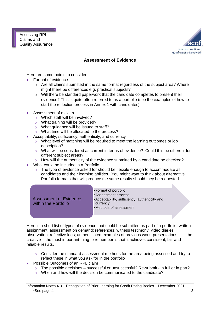

#### **Assessment of Evidence**

Here are some points to consider:

- Format of evidence
	- o Are all claims submitted in the same format regardless of the subject area? Where might there be differences e.g. practical subjects?
	- o Will there be standard paperwork that the candidate completes to present their evidence? This is quite often referred to as a portfolio (see the examples of how to start the reflection process in Annex 1 with candidates)
- Assessment of a claim
	- o Which staff will be involved?
	- $\circ$  What training will be provided?
	- o What guidance will be issued to staff?
	- o What time will be allocated to the process?
- Acceptability, sufficiency, authenticity, and currency
	- o What level of matching will be required to meet the learning outcomes or job description?
	- $\circ$  What will be considered as current in terms of evidence? Could this be different for different subject areas?
	- o How will the authenticity of the evidence submitted by a candidate be checked?
- What could be included in a Portfolio
	- The type of evidence asked for should be flexible enough to accommodate all candidates and their learning abilities. You might want to think about alternative Portfolio formats that will produce the same results should they be requested

| <b>Assessment of Evidence</b><br>within the Portfolio | • Format of portfolio<br>• Assessment process<br>• Acceptability, sufficiency, authenticity and<br>currency<br>• Methods of assessment |  |
|-------------------------------------------------------|----------------------------------------------------------------------------------------------------------------------------------------|--|
|                                                       |                                                                                                                                        |  |

Here is a short list of types of evidence that could be submitted as part of a portfolio: written assignment; assessment on demand; references; witness testimony; video diaries; observation; reflective logs; authenticated examples of previous work; presentations……..be creative - the most important thing to remember is that it achieves consistent, fair and reliable results.

- $\circ$  Consider the standard assessment methods for the area being assessed and try to reflect these in what you ask for in the portfolio
- Possible Outcomes of an RPL claim
	- $\circ$  The possible decisions successful or unsuccessful? Re-submit in full or in part?
	- o When and how will the decision be communicated to the candidate?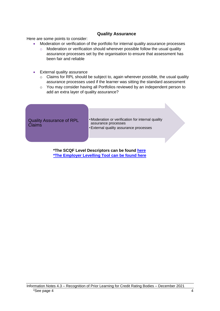#### **Quality Assurance**

Here are some points to consider:

- Moderation or verification of the portfolio for internal quality assurance processes
	- $\circ$  Moderation or verification should wherever possible follow the usual quality assurance processes set by the organisation to ensure that assessment has been fair and reliable
- **External quality assurance** 
	- o Claims for RPL should be subject to, again wherever possible, the usual quality assurance processes used if the learner was sitting the standard assessment
	- o You may consider having all Portfolios reviewed by an independent person to add an extra layer of quality assurance?

| <b>Quality Assurance of RPL</b><br><b>Claims</b> | • Moderation or verification for internal quality<br>assurance processes<br><b>External quality assurance processes</b> |  |
|--------------------------------------------------|-------------------------------------------------------------------------------------------------------------------------|--|
|                                                  |                                                                                                                         |  |

**\*The SCQF Level Descriptors can be found [here](https://scqf.org.uk/media/ta4l1whk/scqf-level-descriptors-web-july-2019.pdf) \*The Employer Levelling Tool can be found [here](https://scqf.org.uk/media/kzdf4tza/employer-levelling-tool-web-mar-2017.pdf)**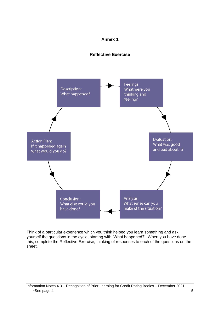#### **Annex 1**





Think of a particular experience which you think helped you learn something and ask yourself the questions in the cycle, starting with 'What happened?'. When you have done this, complete the Reflective Exercise, thinking of responses to each of the questions on the sheet.